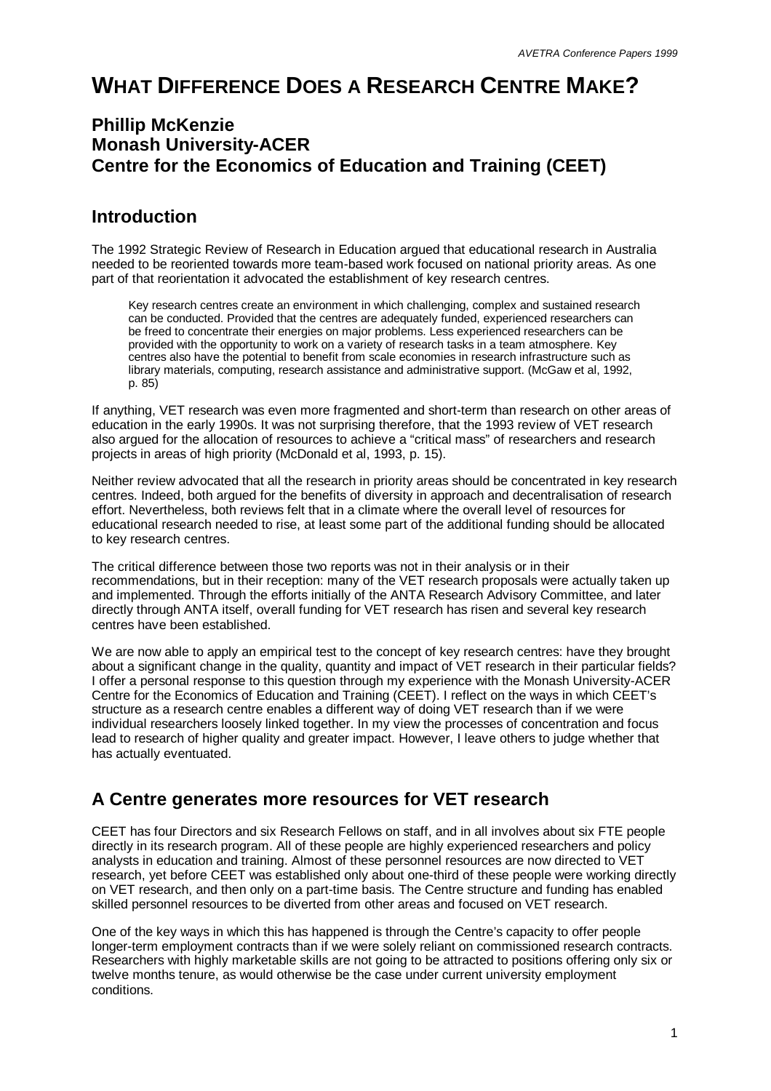# **WHAT DIFFERENCE DOES A RESEARCH CENTRE MAKE?**

#### **Phillip McKenzie Monash University-ACER Centre for the Economics of Education and Training (CEET)**

#### **Introduction**

The 1992 Strategic Review of Research in Education argued that educational research in Australia needed to be reoriented towards more team-based work focused on national priority areas. As one part of that reorientation it advocated the establishment of key research centres.

Key research centres create an environment in which challenging, complex and sustained research can be conducted. Provided that the centres are adequately funded, experienced researchers can be freed to concentrate their energies on major problems. Less experienced researchers can be provided with the opportunity to work on a variety of research tasks in a team atmosphere. Key centres also have the potential to benefit from scale economies in research infrastructure such as library materials, computing, research assistance and administrative support. (McGaw et al, 1992, p. 85)

If anything, VET research was even more fragmented and short-term than research on other areas of education in the early 1990s. It was not surprising therefore, that the 1993 review of VET research also argued for the allocation of resources to achieve a "critical mass" of researchers and research projects in areas of high priority (McDonald et al, 1993, p. 15).

Neither review advocated that all the research in priority areas should be concentrated in key research centres. Indeed, both argued for the benefits of diversity in approach and decentralisation of research effort. Nevertheless, both reviews felt that in a climate where the overall level of resources for educational research needed to rise, at least some part of the additional funding should be allocated to key research centres.

The critical difference between those two reports was not in their analysis or in their recommendations, but in their reception: many of the VET research proposals were actually taken up and implemented. Through the efforts initially of the ANTA Research Advisory Committee, and later directly through ANTA itself, overall funding for VET research has risen and several key research centres have been established.

We are now able to apply an empirical test to the concept of key research centres: have they brought about a significant change in the quality, quantity and impact of VET research in their particular fields? I offer a personal response to this question through my experience with the Monash University-ACER Centre for the Economics of Education and Training (CEET). I reflect on the ways in which CEET's structure as a research centre enables a different way of doing VET research than if we were individual researchers loosely linked together. In my view the processes of concentration and focus lead to research of higher quality and greater impact. However, I leave others to judge whether that has actually eventuated.

# **A Centre generates more resources for VET research**

CEET has four Directors and six Research Fellows on staff, and in all involves about six FTE people directly in its research program. All of these people are highly experienced researchers and policy analysts in education and training. Almost of these personnel resources are now directed to VET research, yet before CEET was established only about one-third of these people were working directly on VET research, and then only on a part-time basis. The Centre structure and funding has enabled skilled personnel resources to be diverted from other areas and focused on VET research.

One of the key ways in which this has happened is through the Centre's capacity to offer people longer-term employment contracts than if we were solely reliant on commissioned research contracts. Researchers with highly marketable skills are not going to be attracted to positions offering only six or twelve months tenure, as would otherwise be the case under current university employment conditions.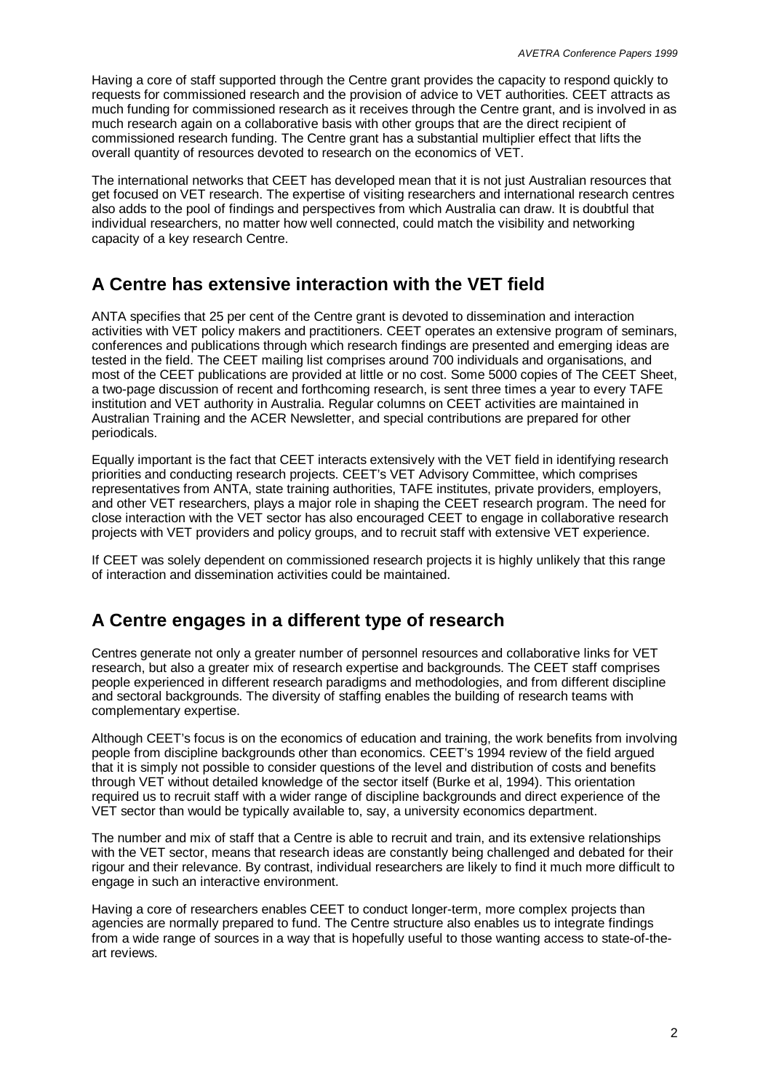Having a core of staff supported through the Centre grant provides the capacity to respond quickly to requests for commissioned research and the provision of advice to VET authorities. CEET attracts as much funding for commissioned research as it receives through the Centre grant, and is involved in as much research again on a collaborative basis with other groups that are the direct recipient of commissioned research funding. The Centre grant has a substantial multiplier effect that lifts the overall quantity of resources devoted to research on the economics of VET.

The international networks that CEET has developed mean that it is not just Australian resources that get focused on VET research. The expertise of visiting researchers and international research centres also adds to the pool of findings and perspectives from which Australia can draw. It is doubtful that individual researchers, no matter how well connected, could match the visibility and networking capacity of a key research Centre.

# **A Centre has extensive interaction with the VET field**

ANTA specifies that 25 per cent of the Centre grant is devoted to dissemination and interaction activities with VET policy makers and practitioners. CEET operates an extensive program of seminars, conferences and publications through which research findings are presented and emerging ideas are tested in the field. The CEET mailing list comprises around 700 individuals and organisations, and most of the CEET publications are provided at little or no cost. Some 5000 copies of The CEET Sheet, a two-page discussion of recent and forthcoming research, is sent three times a year to every TAFE institution and VET authority in Australia. Regular columns on CEET activities are maintained in Australian Training and the ACER Newsletter, and special contributions are prepared for other periodicals.

Equally important is the fact that CEET interacts extensively with the VET field in identifying research priorities and conducting research projects. CEET's VET Advisory Committee, which comprises representatives from ANTA, state training authorities, TAFE institutes, private providers, employers, and other VET researchers, plays a major role in shaping the CEET research program. The need for close interaction with the VET sector has also encouraged CEET to engage in collaborative research projects with VET providers and policy groups, and to recruit staff with extensive VET experience.

If CEET was solely dependent on commissioned research projects it is highly unlikely that this range of interaction and dissemination activities could be maintained.

#### **A Centre engages in a different type of research**

Centres generate not only a greater number of personnel resources and collaborative links for VET research, but also a greater mix of research expertise and backgrounds. The CEET staff comprises people experienced in different research paradigms and methodologies, and from different discipline and sectoral backgrounds. The diversity of staffing enables the building of research teams with complementary expertise.

Although CEET's focus is on the economics of education and training, the work benefits from involving people from discipline backgrounds other than economics. CEET's 1994 review of the field argued that it is simply not possible to consider questions of the level and distribution of costs and benefits through VET without detailed knowledge of the sector itself (Burke et al, 1994). This orientation required us to recruit staff with a wider range of discipline backgrounds and direct experience of the VET sector than would be typically available to, say, a university economics department.

The number and mix of staff that a Centre is able to recruit and train, and its extensive relationships with the VET sector, means that research ideas are constantly being challenged and debated for their rigour and their relevance. By contrast, individual researchers are likely to find it much more difficult to engage in such an interactive environment.

Having a core of researchers enables CEET to conduct longer-term, more complex projects than agencies are normally prepared to fund. The Centre structure also enables us to integrate findings from a wide range of sources in a way that is hopefully useful to those wanting access to state-of-theart reviews.